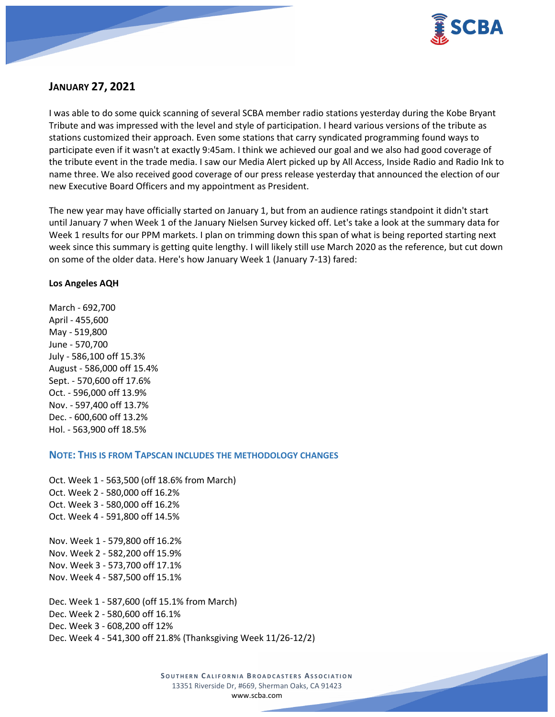

# **JANUARY 27, 2021**

I was able to do some quick scanning of several SCBA member radio stations yesterday during the Kobe Bryant Tribute and was impressed with the level and style of participation. I heard various versions of the tribute as stations customized their approach. Even some stations that carry syndicated programming found ways to participate even if it wasn't at exactly 9:45am. I think we achieved our goal and we also had good coverage of the tribute event in the trade media. I saw our Media Alert picked up by All Access, Inside Radio and Radio Ink to name three. We also received good coverage of our press release yesterday that announced the election of our new Executive Board Officers and my appointment as President.

The new year may have officially started on January 1, but from an audience ratings standpoint it didn't start until January 7 when Week 1 of the January Nielsen Survey kicked off. Let's take a look at the summary data for Week 1 results for our PPM markets. I plan on trimming down this span of what is being reported starting next week since this summary is getting quite lengthy. I will likely still use March 2020 as the reference, but cut down on some of the older data. Here's how January Week 1 (January 7-13) fared:

#### **Los Angeles AQH**

March - 692,700 April - 455,600 May - 519,800 June - 570,700 July - 586,100 off 15.3% August - 586,000 off 15.4% Sept. - 570,600 off 17.6% Oct. - 596,000 off 13.9% Nov. - 597,400 off 13.7% Dec. - 600,600 off 13.2% Hol. - 563,900 off 18.5%

# **NOTE: THIS IS FROM TAPSCAN INCLUDES THE METHODOLOGY CHANGES**

Oct. Week 1 - 563,500 (off 18.6% from March) Oct. Week 2 - 580,000 off 16.2% Oct. Week 3 - 580,000 off 16.2% Oct. Week 4 - 591,800 off 14.5% Nov. Week 1 - 579,800 off 16.2% Nov. Week 2 - 582,200 off 15.9% Nov. Week 3 - 573,700 off 17.1% Nov. Week 4 - 587,500 off 15.1% Dec. Week 1 - 587,600 (off 15.1% from March) Dec. Week 2 - 580,600 off 16.1% Dec. Week 3 - 608,200 off 12% Dec. Week 4 - 541,300 off 21.8% (Thanksgiving Week 11/26-12/2)

> **SOUTHERN C ALIFORNIA B ROADCASTERS ASSOCIATION** 13351 Riverside Dr, #669, Sherman Oaks, CA 91423 [www.scba.com](http://www.scba.com/)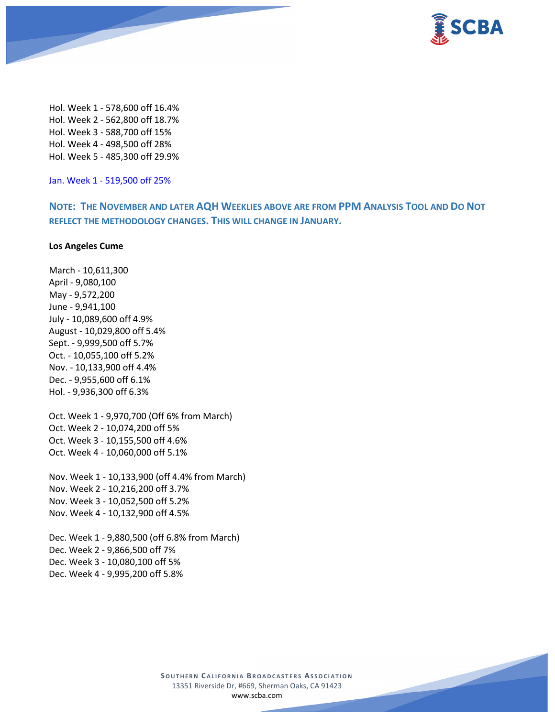

Hol. Week 1 - 578,600 off 16.4% Hol. Week 2 - 562,800 off 18.7% Hol. Week 3 - 588,700 off 15% Hol. Week 4 - 498,500 off 28% Hol. Week 5 - 485,300 off 29.9%

Jan. Week 1 - 519,500 off 25%

**NOTE: THE NOVEMBER AND LATER AQH WEEKLIES ABOVE ARE FROM PPM ANALYSIS TOOL AND DO NOT REFLECT THE METHODOLOGY CHANGES. THIS WILL CHANGE IN JANUARY.**

#### **Los Angeles Cume**

March - 10,611,300 April - 9,080,100 May - 9,572,200 June - 9,941,100 July - 10,089,600 off 4.9% August - 10,029,800 off 5.4% Sept. - 9,999,500 off 5.7% Oct. - 10,055,100 off 5.2% Nov. - 10,133,900 off 4.4% Dec. - 9,955,600 off 6.1% Hol. - 9,936,300 off 6.3% Oct. Week 1 - 9,970,700 (Off 6% from March) Oct. Week 2 - 10,074,200 off 5% Oct. Week 3 - 10,155,500 off 4.6% Oct. Week 4 - 10,060,000 off 5.1% Nov. Week 1 - 10,133,900 (off 4.4% from March)

Nov. Week 2 - 10,216,200 off 3.7% Nov. Week 3 - 10,052,500 off 5.2% Nov. Week 4 - 10,132,900 off 4.5%

Dec. Week 1 - 9,880,500 (off 6.8% from March) Dec. Week 2 - 9,866,500 off 7% Dec. Week 3 - 10,080,100 off 5% Dec. Week 4 - 9,995,200 off 5.8%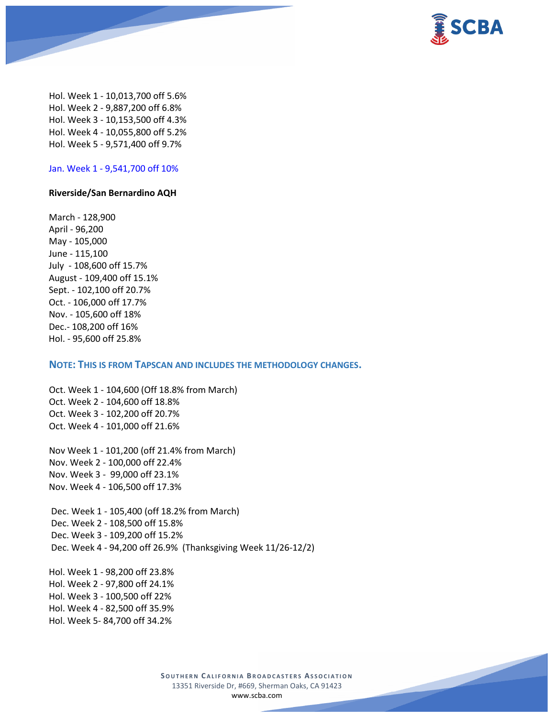

Hol. Week 1 - 10,013,700 off 5.6% Hol. Week 2 - 9,887,200 off 6.8% Hol. Week 3 - 10,153,500 off 4.3% Hol. Week 4 - 10,055,800 off 5.2% Hol. Week 5 - 9,571,400 off 9.7%

Jan. Week 1 - 9,541,700 off 10%

#### **Riverside/San Bernardino AQH**

March - 128,900 April - 96,200 May - 105,000 June - 115,100 July - 108,600 off 15.7% August - 109,400 off 15.1% Sept. - 102,100 off 20.7% Oct. - 106,000 off 17.7% Nov. - 105,600 off 18% Dec.- 108,200 off 16% Hol. - 95,600 off 25.8%

#### **NOTE: THIS IS FROM TAPSCAN AND INCLUDES THE METHODOLOGY CHANGES.**

Oct. Week 1 - 104,600 (Off 18.8% from March) Oct. Week 2 - 104,600 off 18.8% Oct. Week 3 - 102,200 off 20.7% Oct. Week 4 - 101,000 off 21.6%

Nov Week 1 - 101,200 (off 21.4% from March) Nov. Week 2 - 100,000 off 22.4% Nov. Week 3 - 99,000 off 23.1% Nov. Week 4 - 106,500 off 17.3%

Dec. Week 1 - 105,400 (off 18.2% from March) Dec. Week 2 - 108,500 off 15.8% Dec. Week 3 - 109,200 off 15.2% Dec. Week 4 - 94,200 off 26.9% (Thanksgiving Week 11/26-12/2)

Hol. Week 1 - 98,200 off 23.8% Hol. Week 2 - 97,800 off 24.1% Hol. Week 3 - 100,500 off 22% Hol. Week 4 - 82,500 off 35.9% Hol. Week 5- 84,700 off 34.2%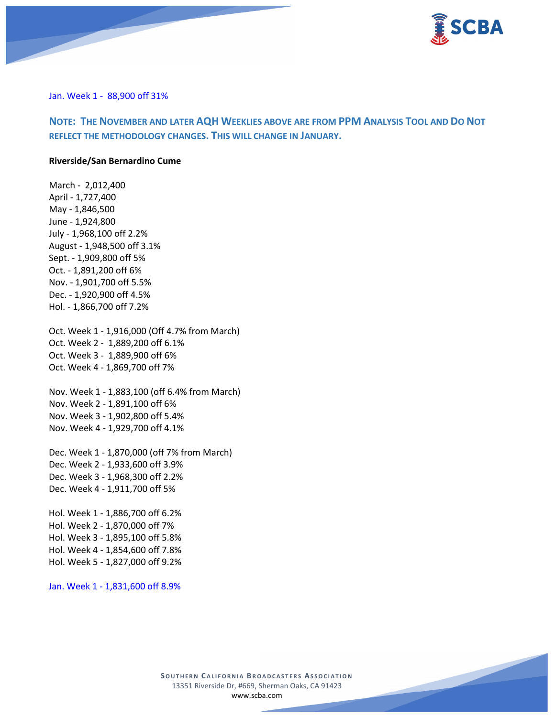

Jan. Week 1 - 88,900 off 31%

# **NOTE: THE NOVEMBER AND LATER AQH WEEKLIES ABOVE ARE FROM PPM ANALYSIS TOOL AND DO NOT REFLECT THE METHODOLOGY CHANGES. THIS WILL CHANGE IN JANUARY.**

#### **Riverside/San Bernardino Cume**

March - 2,012,400 April - 1,727,400 May - 1,846,500 June - 1,924,800 July - 1,968,100 off 2.2% August - 1,948,500 off 3.1% Sept. - 1,909,800 off 5% Oct. - 1,891,200 off 6% Nov. - 1,901,700 off 5.5% Dec. - 1,920,900 off 4.5% Hol. - 1,866,700 off 7.2% Oct. Week 1 - 1,916,000 (Off 4.7% from March) Oct. Week 2 - 1,889,200 off 6.1% Oct. Week 3 - 1,889,900 off 6% Oct. Week 4 - 1,869,700 off 7% Nov. Week 1 - 1,883,100 (off 6.4% from March) Nov. Week 2 - 1,891,100 off 6% Nov. Week 3 - 1,902,800 off 5.4% Nov. Week 4 - 1,929,700 off 4.1% Dec. Week 1 - 1,870,000 (off 7% from March) Dec. Week 2 - 1,933,600 off 3.9% Dec. Week 3 - 1,968,300 off 2.2% Dec. Week 4 - 1,911,700 off 5% Hol. Week 1 - 1,886,700 off 6.2% Hol. Week 2 - 1,870,000 off 7% Hol. Week 3 - 1,895,100 off 5.8% Hol. Week 4 - 1,854,600 off 7.8% Hol. Week 5 - 1,827,000 off 9.2%

Jan. Week 1 - 1,831,600 off 8.9%

**SOUTHERN C ALIFORNIA B ROADCASTERS ASSOCIATION** 13351 Riverside Dr, #669, Sherman Oaks, CA 91423 [www.scba.com](http://www.scba.com/)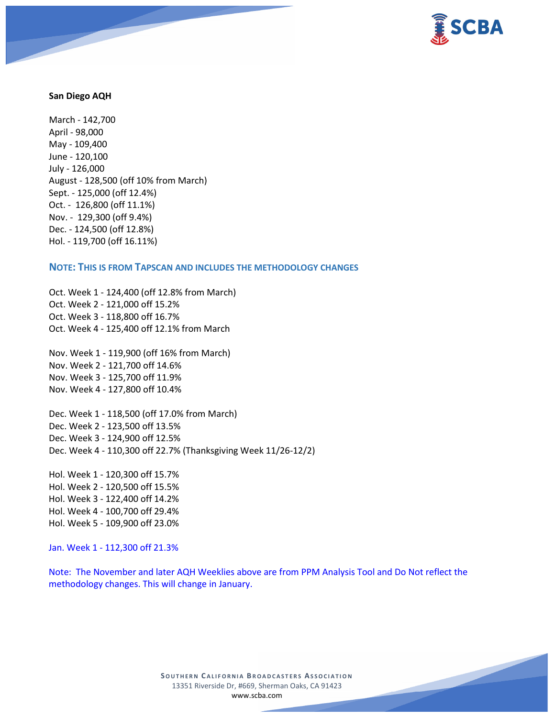

#### **San Diego AQH**

March - 142,700 April - 98,000 May - 109,400 June - 120,100 July - 126,000 August - 128,500 (off 10% from March) Sept. - 125,000 (off 12.4%) Oct. - 126,800 (off 11.1%) Nov. - 129,300 (off 9.4%) Dec. - 124,500 (off 12.8%) Hol. - 119,700 (off 16.11%)

#### **NOTE: THIS IS FROM TAPSCAN AND INCLUDES THE METHODOLOGY CHANGES**

Oct. Week 1 - 124,400 (off 12.8% from March) Oct. Week 2 - 121,000 off 15.2% Oct. Week 3 - 118,800 off 16.7% Oct. Week 4 - 125,400 off 12.1% from March

Nov. Week 1 - 119,900 (off 16% from March) Nov. Week 2 - 121,700 off 14.6% Nov. Week 3 - 125,700 off 11.9% Nov. Week 4 - 127,800 off 10.4%

Dec. Week 1 - 118,500 (off 17.0% from March) Dec. Week 2 - 123,500 off 13.5% Dec. Week 3 - 124,900 off 12.5% Dec. Week 4 - 110,300 off 22.7% (Thanksgiving Week 11/26-12/2)

Hol. Week 1 - 120,300 off 15.7% Hol. Week 2 - 120,500 off 15.5% Hol. Week 3 - 122,400 off 14.2% Hol. Week 4 - 100,700 off 29.4% Hol. Week 5 - 109,900 off 23.0%

Jan. Week 1 - 112,300 off 21.3%

Note: The November and later AQH Weeklies above are from PPM Analysis Tool and Do Not reflect the methodology changes. This will change in January.

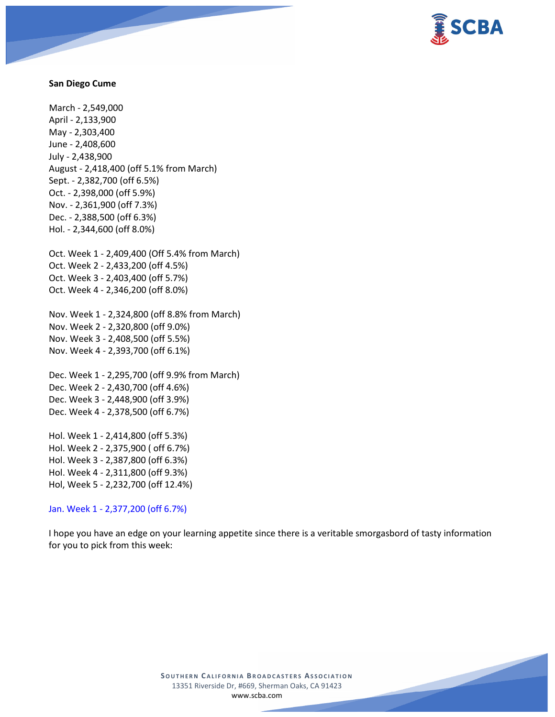

#### **San Diego Cume**

March - 2,549,000 April - 2,133,900 May - 2,303,400 June - 2,408,600 July - 2,438,900 August - 2,418,400 (off 5.1% from March) Sept. - 2,382,700 (off 6.5%) Oct. - 2,398,000 (off 5.9%) Nov. - 2,361,900 (off 7.3%) Dec. - 2,388,500 (off 6.3%) Hol. - 2,344,600 (off 8.0%)

Oct. Week 1 - 2,409,400 (Off 5.4% from March) Oct. Week 2 - 2,433,200 (off 4.5%) Oct. Week 3 - 2,403,400 (off 5.7%) Oct. Week 4 - 2,346,200 (off 8.0%)

Nov. Week 1 - 2,324,800 (off 8.8% from March) Nov. Week 2 - 2,320,800 (off 9.0%) Nov. Week 3 - 2,408,500 (off 5.5%) Nov. Week 4 - 2,393,700 (off 6.1%)

Dec. Week 1 - 2,295,700 (off 9.9% from March) Dec. Week 2 - 2,430,700 (off 4.6%) Dec. Week 3 - 2,448,900 (off 3.9%) Dec. Week 4 - 2,378,500 (off 6.7%)

Hol. Week 1 - 2,414,800 (off 5.3%) Hol. Week 2 - 2,375,900 ( off 6.7%) Hol. Week 3 - 2,387,800 (off 6.3%) Hol. Week 4 - 2,311,800 (off 9.3%) Hol, Week 5 - 2,232,700 (off 12.4%)

Jan. Week 1 - 2,377,200 (off 6.7%)

I hope you have an edge on your learning appetite since there is a veritable smorgasbord of tasty information for you to pick from this week:

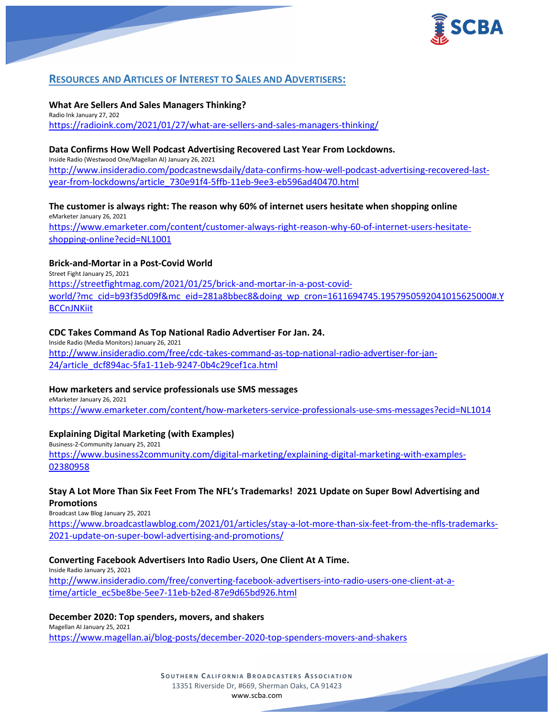

# **RESOURCES AND ARTICLES OF INTEREST TO SALES AND ADVERTISERS:**

## **What Are Sellers And Sales Managers Thinking?**

Radio Ink January 27, 202 <https://radioink.com/2021/01/27/what-are-sellers-and-sales-managers-thinking/>

# **Data Confirms How Well Podcast Advertising Recovered Last Year From Lockdowns.**

Inside Radio (Westwood One/Magellan AI) January 26, 2021 [http://www.insideradio.com/podcastnewsdaily/data-confirms-how-well-podcast-advertising-recovered-last](http://www.insideradio.com/podcastnewsdaily/data-confirms-how-well-podcast-advertising-recovered-last-year-from-lockdowns/article_730e91f4-5ffb-11eb-9ee3-eb596ad40470.html)[year-from-lockdowns/article\\_730e91f4-5ffb-11eb-9ee3-eb596ad40470.html](http://www.insideradio.com/podcastnewsdaily/data-confirms-how-well-podcast-advertising-recovered-last-year-from-lockdowns/article_730e91f4-5ffb-11eb-9ee3-eb596ad40470.html)

# **The customer is always right: The reason why 60% of internet users hesitate when shopping online**

eMarketer January 26, 2021 [https://www.emarketer.com/content/customer-always-right-reason-why-60-of-internet-users-hesitate](https://www.emarketer.com/content/customer-always-right-reason-why-60-of-internet-users-hesitate-shopping-online?ecid=NL1001)[shopping-online?ecid=NL1001](https://www.emarketer.com/content/customer-always-right-reason-why-60-of-internet-users-hesitate-shopping-online?ecid=NL1001)

# **Brick-and-Mortar in a Post-Covid World**

Street Fight January 25, 2021 [https://streetfightmag.com/2021/01/25/brick-and-mortar-in-a-post-covid](https://streetfightmag.com/2021/01/25/brick-and-mortar-in-a-post-covid-world/?mc_cid=b93f35d09f&mc_eid=281a8bbec8&doing_wp_cron=1611694745.1957950592041015625000#.YBCCnJNKiit)[world/?mc\\_cid=b93f35d09f&mc\\_eid=281a8bbec8&doing\\_wp\\_cron=1611694745.1957950592041015625000#.Y](https://streetfightmag.com/2021/01/25/brick-and-mortar-in-a-post-covid-world/?mc_cid=b93f35d09f&mc_eid=281a8bbec8&doing_wp_cron=1611694745.1957950592041015625000#.YBCCnJNKiit) **[BCCnJNKiit](https://streetfightmag.com/2021/01/25/brick-and-mortar-in-a-post-covid-world/?mc_cid=b93f35d09f&mc_eid=281a8bbec8&doing_wp_cron=1611694745.1957950592041015625000#.YBCCnJNKiit)** 

# **CDC Takes Command As Top National Radio Advertiser For Jan. 24.**

Inside Radio (Media Monitors) January 26, 2021 [http://www.insideradio.com/free/cdc-takes-command-as-top-national-radio-advertiser-for-jan-](http://www.insideradio.com/free/cdc-takes-command-as-top-national-radio-advertiser-for-jan-24/article_dcf894ac-5fa1-11eb-9247-0b4c29cef1ca.html)[24/article\\_dcf894ac-5fa1-11eb-9247-0b4c29cef1ca.html](http://www.insideradio.com/free/cdc-takes-command-as-top-national-radio-advertiser-for-jan-24/article_dcf894ac-5fa1-11eb-9247-0b4c29cef1ca.html)

#### **How marketers and service professionals use SMS messages**

eMarketer January 26, 2021 <https://www.emarketer.com/content/how-marketers-service-professionals-use-sms-messages?ecid=NL1014>

# **Explaining Digital Marketing (with Examples)**

Business-2-Community January 25, 2021 [https://www.business2community.com/digital-marketing/explaining-digital-marketing-with-examples-](https://www.business2community.com/digital-marketing/explaining-digital-marketing-with-examples-02380958)[02380958](https://www.business2community.com/digital-marketing/explaining-digital-marketing-with-examples-02380958)

# **Stay A Lot More Than Six Feet From The NFL's Trademarks! 2021 Update on Super Bowl Advertising and Promotions**

Broadcast Law Blog January 25, 2021

[https://www.broadcastlawblog.com/2021/01/articles/stay-a-lot-more-than-six-feet-from-the-nfls-trademarks-](https://www.broadcastlawblog.com/2021/01/articles/stay-a-lot-more-than-six-feet-from-the-nfls-trademarks-2021-update-on-super-bowl-advertising-and-promotions/)[2021-update-on-super-bowl-advertising-and-promotions/](https://www.broadcastlawblog.com/2021/01/articles/stay-a-lot-more-than-six-feet-from-the-nfls-trademarks-2021-update-on-super-bowl-advertising-and-promotions/)

# **Converting Facebook Advertisers Into Radio Users, One Client At A Time.**

Inside Radio January 25, 2021 [http://www.insideradio.com/free/converting-facebook-advertisers-into-radio-users-one-client-at-a](http://www.insideradio.com/free/converting-facebook-advertisers-into-radio-users-one-client-at-a-time/article_ec5be8be-5ee7-11eb-b2ed-87e9d65bd926.html)[time/article\\_ec5be8be-5ee7-11eb-b2ed-87e9d65bd926.html](http://www.insideradio.com/free/converting-facebook-advertisers-into-radio-users-one-client-at-a-time/article_ec5be8be-5ee7-11eb-b2ed-87e9d65bd926.html)

# **December 2020: Top spenders, movers, and shakers**

Magellan AI January 25, 2021 <https://www.magellan.ai/blog-posts/december-2020-top-spenders-movers-and-shakers>

> **SOUTHERN C ALIFORNIA B ROADCASTERS ASSOCIATION** 13351 Riverside Dr, #669, Sherman Oaks, CA 91423 [www.scba.com](http://www.scba.com/)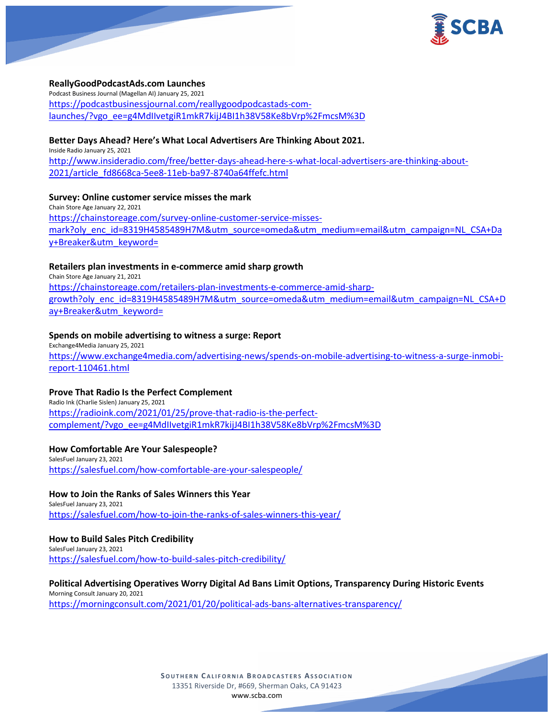

#### **ReallyGoodPodcastAds.com Launches**

Podcast Business Journal (Magellan AI) January 25, 2021 [https://podcastbusinessjournal.com/reallygoodpodcastads-com](https://podcastbusinessjournal.com/reallygoodpodcastads-com-launches/?vgo_ee=g4MdIIvetgiR1mkR7kijJ4BI1h38V58Ke8bVrp%2FmcsM%3D)[launches/?vgo\\_ee=g4MdIIvetgiR1mkR7kijJ4BI1h38V58Ke8bVrp%2FmcsM%3D](https://podcastbusinessjournal.com/reallygoodpodcastads-com-launches/?vgo_ee=g4MdIIvetgiR1mkR7kijJ4BI1h38V58Ke8bVrp%2FmcsM%3D)

### **Better Days Ahead? Here's What Local Advertisers Are Thinking About 2021.**

Inside Radio January 25, 2021 [http://www.insideradio.com/free/better-days-ahead-here-s-what-local-advertisers-are-thinking-about-](http://www.insideradio.com/free/better-days-ahead-here-s-what-local-advertisers-are-thinking-about-2021/article_fd8668ca-5ee8-11eb-ba97-8740a64ffefc.html)[2021/article\\_fd8668ca-5ee8-11eb-ba97-8740a64ffefc.html](http://www.insideradio.com/free/better-days-ahead-here-s-what-local-advertisers-are-thinking-about-2021/article_fd8668ca-5ee8-11eb-ba97-8740a64ffefc.html)

### **Survey: Online customer service misses the mark**

Chain Store Age January 22, 2021 [https://chainstoreage.com/survey-online-customer-service-misses](https://chainstoreage.com/survey-online-customer-service-misses-mark?oly_enc_id=8319H4585489H7M&utm_source=omeda&utm_medium=email&utm_campaign=NL_CSA+Day+Breaker&utm_keyword=)[mark?oly\\_enc\\_id=8319H4585489H7M&utm\\_source=omeda&utm\\_medium=email&utm\\_campaign=NL\\_CSA+Da](https://chainstoreage.com/survey-online-customer-service-misses-mark?oly_enc_id=8319H4585489H7M&utm_source=omeda&utm_medium=email&utm_campaign=NL_CSA+Day+Breaker&utm_keyword=) [y+Breaker&utm\\_keyword=](https://chainstoreage.com/survey-online-customer-service-misses-mark?oly_enc_id=8319H4585489H7M&utm_source=omeda&utm_medium=email&utm_campaign=NL_CSA+Day+Breaker&utm_keyword=)

### **Retailers plan investments in e-commerce amid sharp growth**

Chain Store Age January 21, 2021 [https://chainstoreage.com/retailers-plan-investments-e-commerce-amid-sharp](https://chainstoreage.com/retailers-plan-investments-e-commerce-amid-sharp-growth?oly_enc_id=8319H4585489H7M&utm_source=omeda&utm_medium=email&utm_campaign=NL_CSA+Day+Breaker&utm_keyword=)[growth?oly\\_enc\\_id=8319H4585489H7M&utm\\_source=omeda&utm\\_medium=email&utm\\_campaign=NL\\_CSA+D](https://chainstoreage.com/retailers-plan-investments-e-commerce-amid-sharp-growth?oly_enc_id=8319H4585489H7M&utm_source=omeda&utm_medium=email&utm_campaign=NL_CSA+Day+Breaker&utm_keyword=) [ay+Breaker&utm\\_keyword=](https://chainstoreage.com/retailers-plan-investments-e-commerce-amid-sharp-growth?oly_enc_id=8319H4585489H7M&utm_source=omeda&utm_medium=email&utm_campaign=NL_CSA+Day+Breaker&utm_keyword=)

### **Spends on mobile advertising to witness a surge: Report**

Exchange4Media January 25, 2021 [https://www.exchange4media.com/advertising-news/spends-on-mobile-advertising-to-witness-a-surge-inmobi](https://www.exchange4media.com/advertising-news/spends-on-mobile-advertising-to-witness-a-surge-inmobi-report-110461.html)[report-110461.html](https://www.exchange4media.com/advertising-news/spends-on-mobile-advertising-to-witness-a-surge-inmobi-report-110461.html)

#### **Prove That Radio Is the Perfect Complement**

Radio Ink (Charlie Sislen) January 25, 2021 [https://radioink.com/2021/01/25/prove-that-radio-is-the-perfect](https://radioink.com/2021/01/25/prove-that-radio-is-the-perfect-complement/?vgo_ee=g4MdIIvetgiR1mkR7kijJ4BI1h38V58Ke8bVrp%2FmcsM%3D)[complement/?vgo\\_ee=g4MdIIvetgiR1mkR7kijJ4BI1h38V58Ke8bVrp%2FmcsM%3D](https://radioink.com/2021/01/25/prove-that-radio-is-the-perfect-complement/?vgo_ee=g4MdIIvetgiR1mkR7kijJ4BI1h38V58Ke8bVrp%2FmcsM%3D)

# **How Comfortable Are Your Salespeople?**

SalesFuel January 23, 2021 <https://salesfuel.com/how-comfortable-are-your-salespeople/>

**How to Join the Ranks of Sales Winners this Year**

SalesFuel January 23, 2021 <https://salesfuel.com/how-to-join-the-ranks-of-sales-winners-this-year/>

# **How to Build Sales Pitch Credibility**

SalesFuel January 23, 2021 <https://salesfuel.com/how-to-build-sales-pitch-credibility/>

# **Political Advertising Operatives Worry Digital Ad Bans Limit Options, Transparency During Historic Events**

Morning Consult January 20, 2021 <https://morningconsult.com/2021/01/20/political-ads-bans-alternatives-transparency/>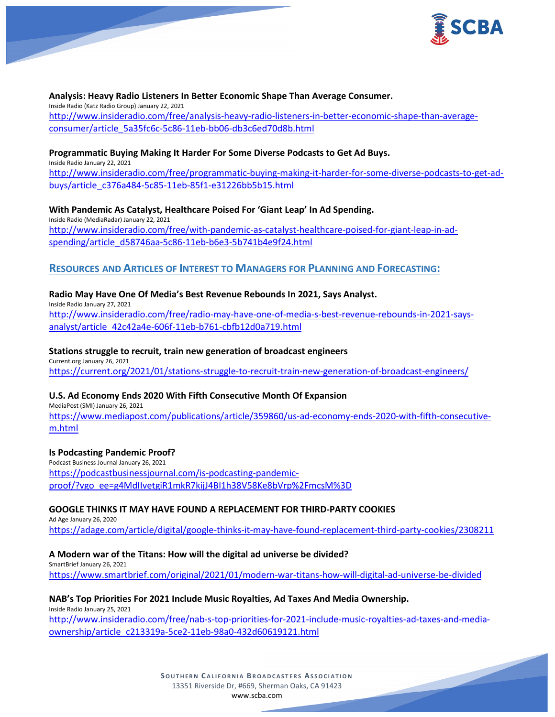

#### **Analysis: Heavy Radio Listeners In Better Economic Shape Than Average Consumer.**

Inside Radio (Katz Radio Group) January 22, 2021 [http://www.insideradio.com/free/analysis-heavy-radio-listeners-in-better-economic-shape-than-average](http://www.insideradio.com/free/analysis-heavy-radio-listeners-in-better-economic-shape-than-average-consumer/article_5a35fc6c-5c86-11eb-bb06-db3c6ed70d8b.html)[consumer/article\\_5a35fc6c-5c86-11eb-bb06-db3c6ed70d8b.html](http://www.insideradio.com/free/analysis-heavy-radio-listeners-in-better-economic-shape-than-average-consumer/article_5a35fc6c-5c86-11eb-bb06-db3c6ed70d8b.html)

#### **Programmatic Buying Making It Harder For Some Diverse Podcasts to Get Ad Buys.**

Inside Radio January 22, 2021 [http://www.insideradio.com/free/programmatic-buying-making-it-harder-for-some-diverse-podcasts-to-get-ad](http://www.insideradio.com/free/programmatic-buying-making-it-harder-for-some-diverse-podcasts-to-get-ad-buys/article_c376a484-5c85-11eb-85f1-e31226bb5b15.html)[buys/article\\_c376a484-5c85-11eb-85f1-e31226bb5b15.html](http://www.insideradio.com/free/programmatic-buying-making-it-harder-for-some-diverse-podcasts-to-get-ad-buys/article_c376a484-5c85-11eb-85f1-e31226bb5b15.html)

**With Pandemic As Catalyst, Healthcare Poised For 'Giant Leap' In Ad Spending.** Inside Radio (MediaRadar) January 22, 2021 [http://www.insideradio.com/free/with-pandemic-as-catalyst-healthcare-poised-for-giant-leap-in-ad](http://www.insideradio.com/free/with-pandemic-as-catalyst-healthcare-poised-for-giant-leap-in-ad-spending/article_d58746aa-5c86-11eb-b6e3-5b741b4e9f24.html)[spending/article\\_d58746aa-5c86-11eb-b6e3-5b741b4e9f24.html](http://www.insideradio.com/free/with-pandemic-as-catalyst-healthcare-poised-for-giant-leap-in-ad-spending/article_d58746aa-5c86-11eb-b6e3-5b741b4e9f24.html)

# **RESOURCES AND ARTICLES OF INTEREST TO MANAGERS FOR PLANNING AND FORECASTING:**

#### **Radio May Have One Of Media's Best Revenue Rebounds In 2021, Says Analyst.**

Inside Radio January 27, 2021

[http://www.insideradio.com/free/radio-may-have-one-of-media-s-best-revenue-rebounds-in-2021-says](http://www.insideradio.com/free/radio-may-have-one-of-media-s-best-revenue-rebounds-in-2021-says-analyst/article_42c42a4e-606f-11eb-b761-cbfb12d0a719.html)[analyst/article\\_42c42a4e-606f-11eb-b761-cbfb12d0a719.html](http://www.insideradio.com/free/radio-may-have-one-of-media-s-best-revenue-rebounds-in-2021-says-analyst/article_42c42a4e-606f-11eb-b761-cbfb12d0a719.html)

#### **Stations struggle to recruit, train new generation of broadcast engineers**

Current.org January 26, 2021 <https://current.org/2021/01/stations-struggle-to-recruit-train-new-generation-of-broadcast-engineers/>

# **U.S. Ad Economy Ends 2020 With Fifth Consecutive Month Of Expansion**

MediaPost (SMI) January 26, 2021 [https://www.mediapost.com/publications/article/359860/us-ad-economy-ends-2020-with-fifth-consecutive](https://www.mediapost.com/publications/article/359860/us-ad-economy-ends-2020-with-fifth-consecutive-m.html)[m.html](https://www.mediapost.com/publications/article/359860/us-ad-economy-ends-2020-with-fifth-consecutive-m.html)

#### **Is Podcasting Pandemic Proof?**

Podcast Business Journal January 26, 2021 [https://podcastbusinessjournal.com/is-podcasting-pandemic](https://podcastbusinessjournal.com/is-podcasting-pandemic-proof/?vgo_ee=g4MdIIvetgiR1mkR7kijJ4BI1h38V58Ke8bVrp%2FmcsM%3D)[proof/?vgo\\_ee=g4MdIIvetgiR1mkR7kijJ4BI1h38V58Ke8bVrp%2FmcsM%3D](https://podcastbusinessjournal.com/is-podcasting-pandemic-proof/?vgo_ee=g4MdIIvetgiR1mkR7kijJ4BI1h38V58Ke8bVrp%2FmcsM%3D)

# **GOOGLE THINKS IT MAY HAVE FOUND A REPLACEMENT FOR THIRD-PARTY COOKIES**

Ad Age January 26, 2020 <https://adage.com/article/digital/google-thinks-it-may-have-found-replacement-third-party-cookies/2308211>

#### **A Modern war of the Titans: How will the digital ad universe be divided?**

SmartBrief January 26, 2021 <https://www.smartbrief.com/original/2021/01/modern-war-titans-how-will-digital-ad-universe-be-divided>

#### **NAB's Top Priorities For 2021 Include Music Royalties, Ad Taxes And Media Ownership.**

Inside Radio January 25, 2021 [http://www.insideradio.com/free/nab-s-top-priorities-for-2021-include-music-royalties-ad-taxes-and-media](http://www.insideradio.com/free/nab-s-top-priorities-for-2021-include-music-royalties-ad-taxes-and-media-ownership/article_c213319a-5ce2-11eb-98a0-432d60619121.html)[ownership/article\\_c213319a-5ce2-11eb-98a0-432d60619121.html](http://www.insideradio.com/free/nab-s-top-priorities-for-2021-include-music-royalties-ad-taxes-and-media-ownership/article_c213319a-5ce2-11eb-98a0-432d60619121.html)